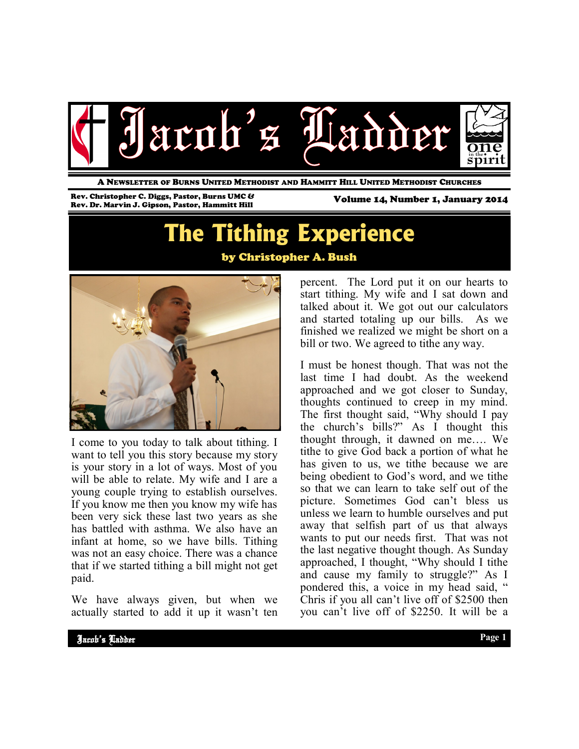

A NEWSLETTER OF BURNS UNITED METHODIST AND HAMMITT HILL UNITED METHODIST CHURCHES

Rev. Christopher C. Diggs, Pastor, Burns UMC & Rev. Dr. Marvin J. Gipson, Pastor, Hammitt Hill

Volume 14, Number 1, January 2014

## **The Tithing Experience** by Christopher A. Bush



I come to you today to talk about tithing. I want to tell you this story because my story is your story in a lot of ways. Most of you will be able to relate. My wife and I are a young couple trying to establish ourselves. If you know me then you know my wife has been very sick these last two years as she has battled with asthma. We also have an infant at home, so we have bills. Tithing was not an easy choice. There was a chance that if we started tithing a bill might not get paid.

We have always given, but when we actually started to add it up it wasn't ten percent. The Lord put it on our hearts to start tithing. My wife and I sat down and talked about it. We got out our calculators and started totaling up our bills. As we finished we realized we might be short on a bill or two. We agreed to tithe any way.

I must be honest though. That was not the last time I had doubt. As the weekend approached and we got closer to Sunday, thoughts continued to creep in my mind. The first thought said, "Why should I pay the church's bills?" As I thought this thought through, it dawned on me…. We tithe to give God back a portion of what he has given to us, we tithe because we are being obedient to God's word, and we tithe so that we can learn to take self out of the picture. Sometimes God can't bless us unless we learn to humble ourselves and put away that selfish part of us that always wants to put our needs first. That was not the last negative thought though. As Sunday approached, I thought, "Why should I tithe and cause my family to struggle?" As I pondered this, a voice in my head said, " Chris if you all can't live off of \$2500 then you can't live off of \$2250. It will be a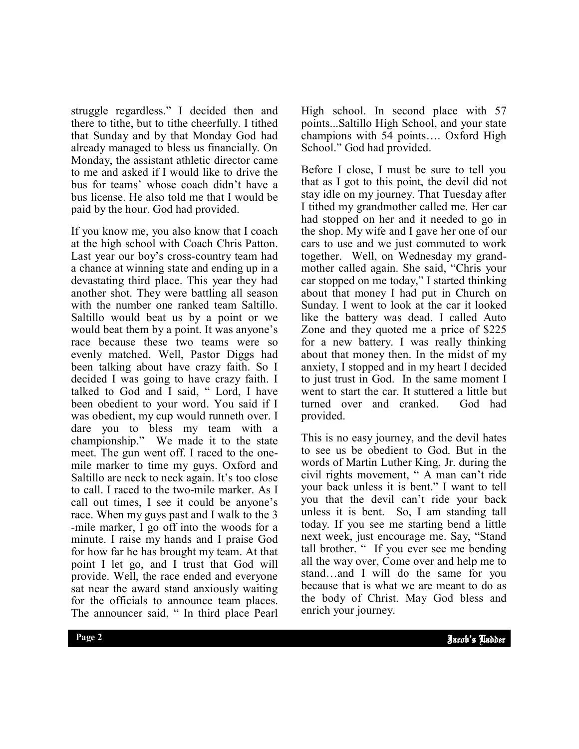struggle regardless." I decided then and there to tithe, but to tithe cheerfully. I tithed that Sunday and by that Monday God had already managed to bless us financially. On Monday, the assistant athletic director came to me and asked if I would like to drive the bus for teams' whose coach didn't have a bus license. He also told me that I would be paid by the hour. God had provided.

If you know me, you also know that I coach at the high school with Coach Chris Patton. Last year our boy's cross-country team had a chance at winning state and ending up in a devastating third place. This year they had another shot. They were battling all season with the number one ranked team Saltillo. Saltillo would beat us by a point or we would beat them by a point. It was anyone's race because these two teams were so evenly matched. Well, Pastor Diggs had been talking about have crazy faith. So I decided I was going to have crazy faith. I talked to God and I said, " Lord, I have been obedient to your word. You said if I was obedient, my cup would runneth over. I dare you to bless my team with a championship." We made it to the state meet. The gun went off. I raced to the onemile marker to time my guys. Oxford and Saltillo are neck to neck again. It's too close to call. I raced to the two-mile marker. As I call out times, I see it could be anyone's race. When my guys past and I walk to the 3 -mile marker, I go off into the woods for a minute. I raise my hands and I praise God for how far he has brought my team. At that point I let go, and I trust that God will provide. Well, the race ended and everyone sat near the award stand anxiously waiting for the officials to announce team places. The announcer said, " In third place Pearl

High school. In second place with 57 points...Saltillo High School, and your state champions with 54 points…. Oxford High School." God had provided.

Before I close, I must be sure to tell you that as I got to this point, the devil did not stay idle on my journey. That Tuesday after I tithed my grandmother called me. Her car had stopped on her and it needed to go in the shop. My wife and I gave her one of our cars to use and we just commuted to work together. Well, on Wednesday my grandmother called again. She said, "Chris your car stopped on me today," I started thinking about that money I had put in Church on Sunday. I went to look at the car it looked like the battery was dead. I called Auto Zone and they quoted me a price of \$225 for a new battery. I was really thinking about that money then. In the midst of my anxiety, I stopped and in my heart I decided to just trust in God. In the same moment I went to start the car. It stuttered a little but turned over and cranked. God had provided.

because that is what we are meant to do as This is no easy journey, and the devil hates to see us be obedient to God. But in the words of Martin Luther King, Jr. during the civil rights movement, " A man can't ride your back unless it is bent." I want to tell you that the devil can't ride your back unless it is bent. So, I am standing tall today. If you see me starting bend a little next week, just encourage me. Say, "Stand tall brother. " If you ever see me bending all the way over, Come over and help me to stand…and I will do the same for you the body of Christ. May God bless and enrich your journey.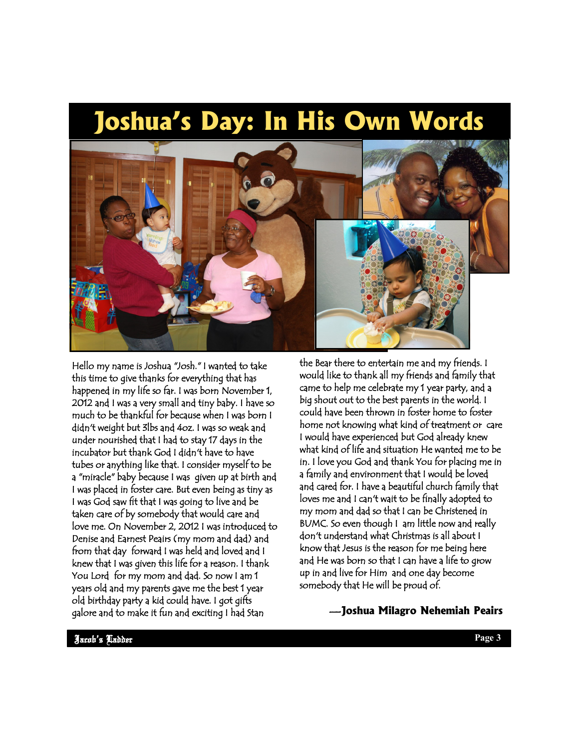# **Joshua's Day: In His Own Words**



Hello my name is Joshua "Josh." I wanted to take this time to give thanks for everything that has happened in my life so far. I was born November 1, 2012 and I was a very small and tiny baby. I have so much to be thankful for because when I was born I didn't weight but 3lbs and 4oz. I was so weak and under nourished that I had to stay 17 days in the incubator but thank God I didn't have to have tubes or anything like that. I consider myself to be a "miracle" baby because I was given up at birth and I was placed in foster care. But even being as tiny as I was God saw fit that I was going to live and be taken care of by somebody that would care and love me. On November 2, 2012 I was introduced to Denise and Earnest Peairs (my mom and dad) and from that day forward I was held and loved and I knew that I was given this life for a reason. I thank You Lord for my mom and dad. So now I am 1 years old and my parents gave me the best 1 year old birthday party a kid could have. I got gifts galore and to make it fun and exciting I had Stan

the Bear there to entertain me and my friends. I would like to thank all my friends and family that came to help me celebrate my 1 year party, and a big shout out to the best parents in the world. I could have been thrown in foster home to foster home not knowing what kind of treatment or care I would have experienced but God already knew what kind of life and situation He wanted me to be in. I love you God and thank You for placing me in a family and environment that I would be loved and cared for. I have a beautiful church family that loves me and I can't wait to be finally adopted to my mom and dad so that I can be Christened in BUMC. So even though I am little now and really don't understand what Christmas is all about I know that Jesus is the reason for me being here and He was born so that I can have a life to grow up in and live for Him and one day become somebody that He will be proud of.

### —**Joshua Milagro Nehemiah Peairs**